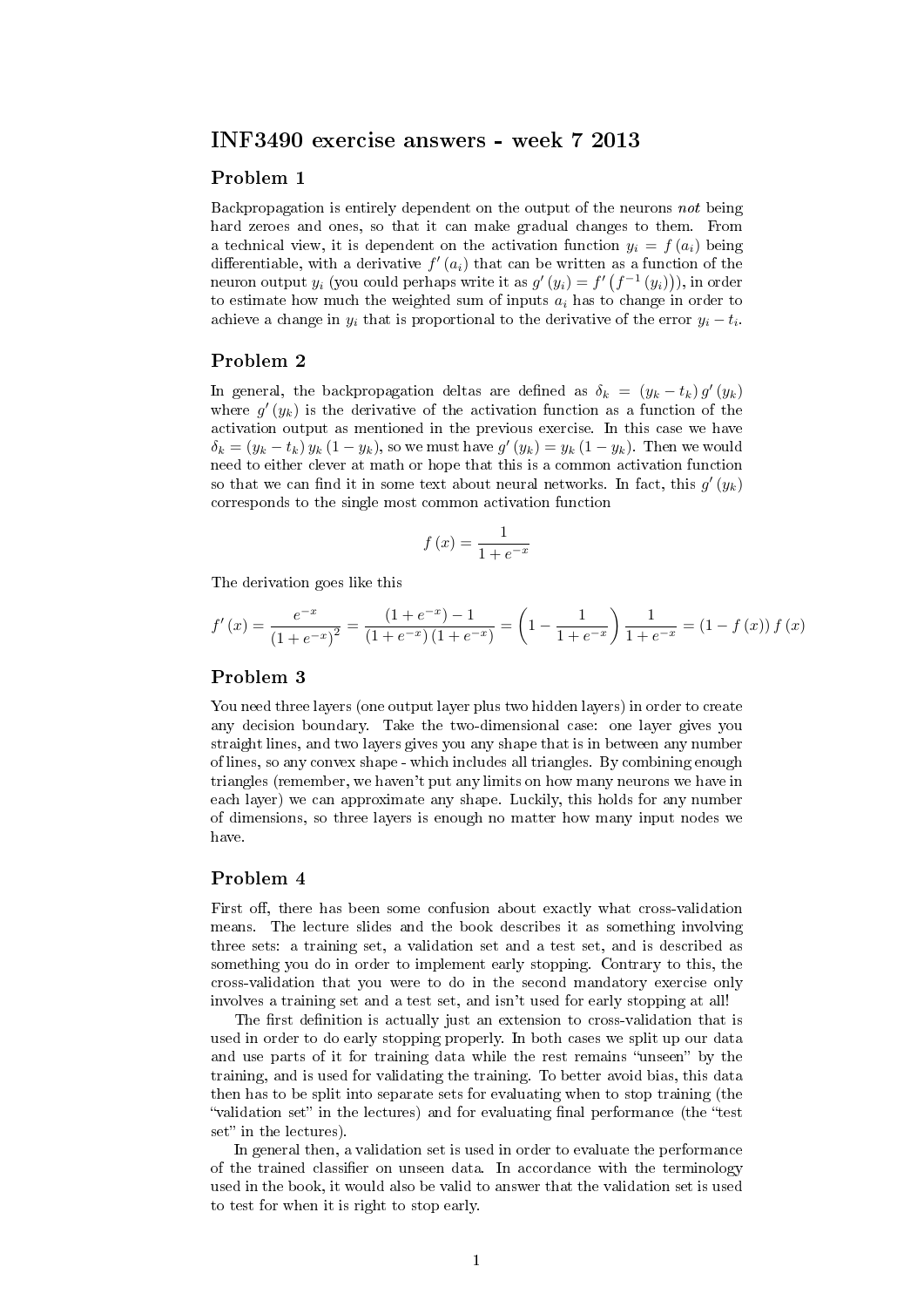# INF3490 exercise answers - week 7 2013

### Problem 1

Backpropagation is entirely dependent on the output of the neurons not being hard zeroes and ones, so that it can make gradual changes to them. From a technical view, it is dependent on the activation function  $y_i = f(a_i)$  being differentiable, with a derivative  $f'(a_i)$  that can be written as a function of the neuron output  $y_i$  (you could perhaps write it as  $g'(y_i) = f'(f^{-1}(y_i))),$  in order to estimate how much the weighted sum of inputs  $a_i$  has to change in order to achieve a change in  $y_i$  that is proportional to the derivative of the error  $y_i - t_i$ .

#### Problem 2

In general, the backpropagation deltas are defined as  $\delta_k = (y_k - t_k) g'(y_k)$ where  $g'(y_k)$  is the derivative of the activation function as a function of the activation output as mentioned in the previous exercise. In this case we have  $\delta_k = (y_k - t_k) y_k (1 - y_k)$ , so we must have  $g'(y_k) = y_k (1 - y_k)$ . Then we would need to either clever at math or hope that this is a common activation function so that we can find it in some text about neural networks. In fact, this  $g'(y_k)$ corresponds to the single most common activation function

$$
f\left(x\right) = \frac{1}{1 + e^{-x}}
$$

The derivation goes like this

$$
f'(x) = \frac{e^{-x}}{(1 + e^{-x})^2} = \frac{(1 + e^{-x}) - 1}{(1 + e^{-x})(1 + e^{-x})} = \left(1 - \frac{1}{1 + e^{-x}}\right) \frac{1}{1 + e^{-x}} = (1 - f(x)) f(x)
$$

# Problem 3

You need three layers (one output layer plus two hidden layers) in order to create any decision boundary. Take the two-dimensional case: one layer gives you straight lines, and two layers gives you any shape that is in between any number of lines, so any convex shape - which includes all triangles. By combining enough triangles (remember, we haven't put any limits on how many neurons we have in each layer) we can approximate any shape. Luckily, this holds for any number of dimensions, so three layers is enough no matter how many input nodes we have.

### Problem 4

First off, there has been some confusion about exactly what cross-validation means. The lecture slides and the book describes it as something involving three sets: a training set, a validation set and a test set, and is described as something you do in order to implement early stopping. Contrary to this, the cross-validation that you were to do in the second mandatory exercise only involves a training set and a test set, and isn't used for early stopping at all!

The first definition is actually just an extension to cross-validation that is used in order to do early stopping properly. In both cases we split up our data and use parts of it for training data while the rest remains "unseen" by the training, and is used for validating the training. To better avoid bias, this data then has to be split into separate sets for evaluating when to stop training (the "validation set" in the lectures) and for evaluating final performance (the "test set" in the lectures).

In general then, a validation set is used in order to evaluate the performance of the trained classifier on unseen data. In accordance with the terminology used in the book, it would also be valid to answer that the validation set is used to test for when it is right to stop early.